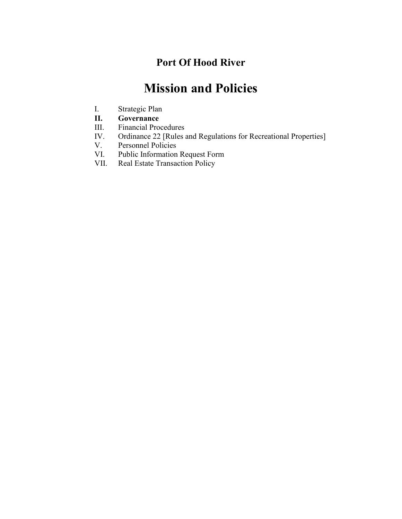## **Port Of Hood River**

# **Mission and Policies**

- I. Strategic Plan
- **II. Governance**
- III. Financial Procedures
- IV. Ordinance 22 [Rules and Regulations for Recreational Properties]<br>V. Personnel Policies
- Personnel Policies
- VI. Public Information Request Form
- VII. Real Estate Transaction Policy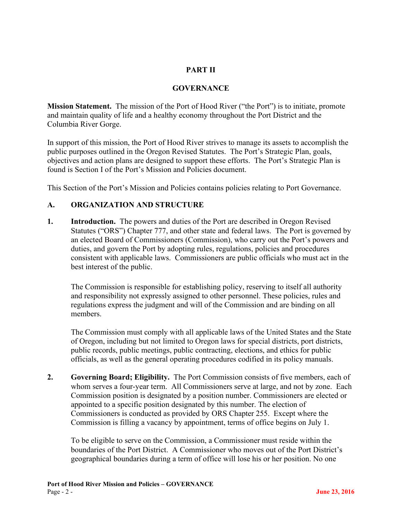### **PART II**

#### **GOVERNANCE**

**Mission Statement.** The mission of the Port of Hood River ("the Port") is to initiate, promote and maintain quality of life and a healthy economy throughout the Port District and the Columbia River Gorge.

In support of this mission, the Port of Hood River strives to manage its assets to accomplish the public purposes outlined in the Oregon Revised Statutes. The Port's Strategic Plan, goals, objectives and action plans are designed to support these efforts. The Port's Strategic Plan is found is Section I of the Port's Mission and Policies document.

This Section of the Port's Mission and Policies contains policies relating to Port Governance.

#### **A. ORGANIZATION AND STRUCTURE**

**1. Introduction.** The powers and duties of the Port are described in Oregon Revised Statutes ("ORS") Chapter 777, and other state and federal laws. The Port is governed by an elected Board of Commissioners (Commission), who carry out the Port's powers and duties, and govern the Port by adopting rules, regulations, policies and procedures consistent with applicable laws.Commissioners are public officials who must act in the best interest of the public.

The Commission is responsible for establishing policy, reserving to itself all authority and responsibility not expressly assigned to other personnel. These policies, rules and regulations express the judgment and will of the Commission and are binding on all members.

The Commission must comply with all applicable laws of the United States and the State of Oregon, including but not limited to Oregon laws for special districts, port districts, public records, public meetings, public contracting, elections, and ethics for public officials, as well as the general operating procedures codified in its policy manuals.

**2. Governing Board; Eligibility.** The Port Commission consists of five members, each of whom serves a four-year term. All Commissioners serve at large, and not by zone. Each Commission position is designated by a position number. Commissioners are elected or appointed to a specific position designated by this number. The election of Commissioners is conducted as provided by ORS Chapter 255. Except where the Commission is filling a vacancy by appointment, terms of office begins on July 1.

To be eligible to serve on the Commission, a Commissioner must reside within the boundaries of the Port District. A Commissioner who moves out of the Port District's geographical boundaries during a term of office will lose his or her position. No one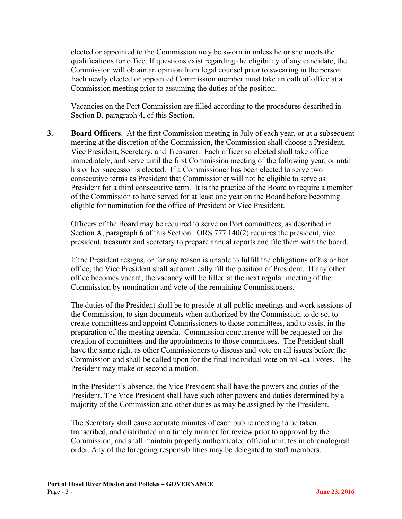elected or appointed to the Commission may be sworn in unless he or she meets the qualifications for office. If questions exist regarding the eligibility of any candidate, the Commission will obtain an opinion from legal counsel prior to swearing in the person. Each newly elected or appointed Commission member must take an oath of office at a Commission meeting prior to assuming the duties of the position.

Vacancies on the Port Commission are filled according to the procedures described in Section B, paragraph 4, of this Section.

**3. Board Officers**. At the first Commission meeting in July of each year, or at a subsequent meeting at the discretion of the Commission, the Commission shall choose a President, Vice President, Secretary, and Treasurer. Each officer so elected shall take office immediately, and serve until the first Commission meeting of the following year, or until his or her successor is elected. If a Commissioner has been elected to serve two consecutive terms as President that Commissioner will not be eligible to serve as President for a third consecutive term. It is the practice of the Board to require a member of the Commission to have served for at least one year on the Board before becoming eligible for nomination for the office of President or Vice President.

Officers of the Board may be required to serve on Port committees, as described in Section A, paragraph 6 of this Section. ORS 777.140(2) requires the president, vice president, treasurer and secretary to prepare annual reports and file them with the board.

If the President resigns, or for any reason is unable to fulfill the obligations of his or her office, the Vice President shall automatically fill the position of President. If any other office becomes vacant, the vacancy will be filled at the next regular meeting of the Commission by nomination and vote of the remaining Commissioners.

The duties of the President shall be to preside at all public meetings and work sessions of the Commission, to sign documents when authorized by the Commission to do so, to create committees and appoint Commissioners to those committees, and to assist in the preparation of the meeting agenda. Commission concurrence will be requested on the creation of committees and the appointments to those committees. The President shall have the same right as other Commissioners to discuss and vote on all issues before the Commission and shall be called upon for the final individual vote on roll-call votes. The President may make or second a motion.

In the President's absence, the Vice President shall have the powers and duties of the President. The Vice President shall have such other powers and duties determined by a majority of the Commission and other duties as may be assigned by the President.

The Secretary shall cause accurate minutes of each public meeting to be taken, transcribed, and distributed in a timely manner for review prior to approval by the Commission, and shall maintain properly authenticated official minutes in chronological order. Any of the foregoing responsibilities may be delegated to staff members.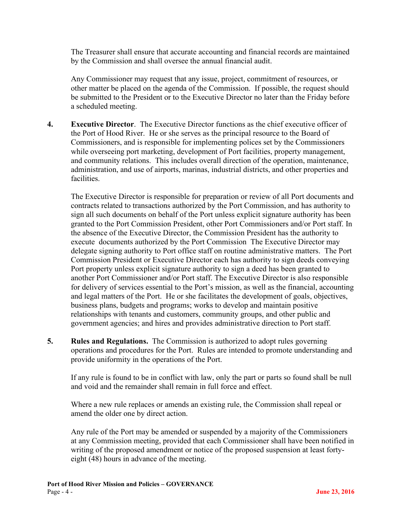The Treasurer shall ensure that accurate accounting and financial records are maintained by the Commission and shall oversee the annual financial audit.

Any Commissioner may request that any issue, project, commitment of resources, or other matter be placed on the agenda of the Commission. If possible, the request should be submitted to the President or to the Executive Director no later than the Friday before a scheduled meeting.

**4. Executive Director**. The Executive Director functions as the chief executive officer of the Port of Hood River. He or she serves as the principal resource to the Board of Commissioners, and is responsible for implementing polices set by the Commissioners while overseeing port marketing, development of Port facilities, property management, and community relations. This includes overall direction of the operation, maintenance, administration, and use of airports, marinas, industrial districts, and other properties and facilities.

The Executive Director is responsible for preparation or review of all Port documents and contracts related to transactions authorized by the Port Commission, and has authority to sign all such documents on behalf of the Port unless explicit signature authority has been granted to the Port Commission President, other Port Commissioners and/or Port staff. In the absence of the Executive Director, the Commission President has the authority to execute documents authorized by the Port Commission The Executive Director may delegate signing authority to Port office staff on routine administrative matters. The Port Commission President or Executive Director each has authority to sign deeds conveying Port property unless explicit signature authority to sign a deed has been granted to another Port Commissioner and/or Port staff. The Executive Director is also responsible for delivery of services essential to the Port's mission, as well as the financial, accounting and legal matters of the Port. He or she facilitates the development of goals, objectives, business plans, budgets and programs; works to develop and maintain positive relationships with tenants and customers, community groups, and other public and government agencies; and hires and provides administrative direction to Port staff.

**5. Rules and Regulations.** The Commission is authorized to adopt rules governing operations and procedures for the Port. Rules are intended to promote understanding and provide uniformity in the operations of the Port.

If any rule is found to be in conflict with law, only the part or parts so found shall be null and void and the remainder shall remain in full force and effect.

Where a new rule replaces or amends an existing rule, the Commission shall repeal or amend the older one by direct action.

Any rule of the Port may be amended or suspended by a majority of the Commissioners at any Commission meeting, provided that each Commissioner shall have been notified in writing of the proposed amendment or notice of the proposed suspension at least fortyeight (48) hours in advance of the meeting.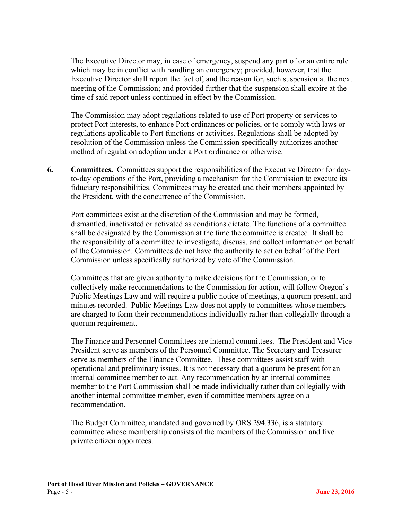The Executive Director may, in case of emergency, suspend any part of or an entire rule which may be in conflict with handling an emergency; provided, however, that the Executive Director shall report the fact of, and the reason for, such suspension at the next meeting of the Commission; and provided further that the suspension shall expire at the time of said report unless continued in effect by the Commission.

The Commission may adopt regulations related to use of Port property or services to protect Port interests, to enhance Port ordinances or policies, or to comply with laws or regulations applicable to Port functions or activities. Regulations shall be adopted by resolution of the Commission unless the Commission specifically authorizes another method of regulation adoption under a Port ordinance or otherwise.

**6. Committees.** Committees support the responsibilities of the Executive Director for dayto-day operations of the Port, providing a mechanism for the Commission to execute its fiduciary responsibilities. Committees may be created and their members appointed by the President, with the concurrence of the Commission.

Port committees exist at the discretion of the Commission and may be formed, dismantled, inactivated or activated as conditions dictate. The functions of a committee shall be designated by the Commission at the time the committee is created. It shall be the responsibility of a committee to investigate, discuss, and collect information on behalf of the Commission. Committees do not have the authority to act on behalf of the Port Commission unless specifically authorized by vote of the Commission.

Committees that are given authority to make decisions for the Commission, or to collectively make recommendations to the Commission for action, will follow Oregon's Public Meetings Law and will require a public notice of meetings, a quorum present, and minutes recorded. Public Meetings Law does not apply to committees whose members are charged to form their recommendations individually rather than collegially through a quorum requirement.

The Finance and Personnel Committees are internal committees. The President and Vice President serve as members of the Personnel Committee. The Secretary and Treasurer serve as members of the Finance Committee. These committees assist staff with operational and preliminary issues. It is not necessary that a quorum be present for an internal committee member to act. Any recommendation by an internal committee member to the Port Commission shall be made individually rather than collegially with another internal committee member, even if committee members agree on a recommendation.

The Budget Committee, mandated and governed by ORS 294.336, is a statutory committee whose membership consists of the members of the Commission and five private citizen appointees.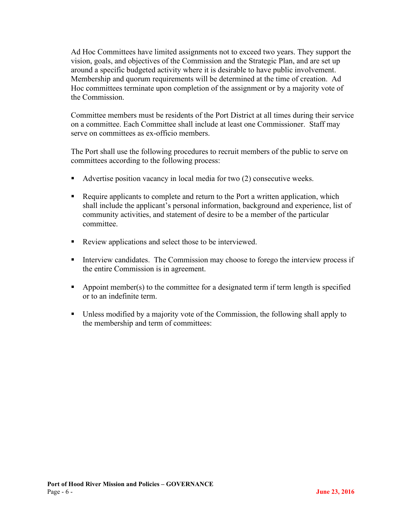Ad Hoc Committees have limited assignments not to exceed two years. They support the vision, goals, and objectives of the Commission and the Strategic Plan, and are set up around a specific budgeted activity where it is desirable to have public involvement. Membership and quorum requirements will be determined at the time of creation. Ad Hoc committees terminate upon completion of the assignment or by a majority vote of the Commission.

Committee members must be residents of the Port District at all times during their service on a committee. Each Committee shall include at least one Commissioner. Staff may serve on committees as ex-officio members.

The Port shall use the following procedures to recruit members of the public to serve on committees according to the following process:

- Advertise position vacancy in local media for two (2) consecutive weeks.
- Require applicants to complete and return to the Port a written application, which shall include the applicant's personal information, background and experience, list of community activities, and statement of desire to be a member of the particular committee.
- Review applications and select those to be interviewed.
- Interview candidates. The Commission may choose to forego the interview process if the entire Commission is in agreement.
- Appoint member(s) to the committee for a designated term if term length is specified or to an indefinite term.
- Unless modified by a majority vote of the Commission, the following shall apply to the membership and term of committees: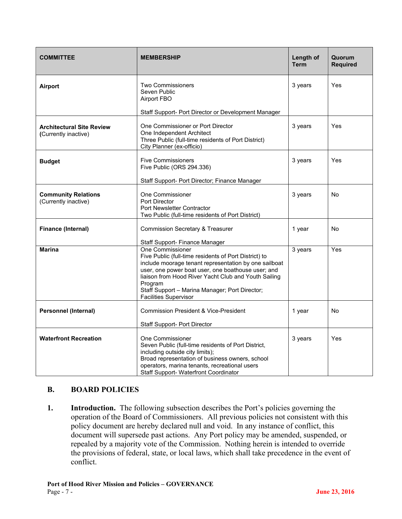| <b>COMMITTEE</b>                                         | <b>MEMBERSHIP</b>                                                                                                                                                                                                                                                                                                                             | Length of<br><b>Term</b> | Quorum<br><b>Required</b> |
|----------------------------------------------------------|-----------------------------------------------------------------------------------------------------------------------------------------------------------------------------------------------------------------------------------------------------------------------------------------------------------------------------------------------|--------------------------|---------------------------|
| Airport                                                  | <b>Two Commissioners</b><br>Seven Public<br>Airport FBO                                                                                                                                                                                                                                                                                       | 3 years                  | Yes                       |
|                                                          | Staff Support- Port Director or Development Manager                                                                                                                                                                                                                                                                                           |                          |                           |
| <b>Architectural Site Review</b><br>(Currently inactive) | One Commissioner or Port Director<br>One Independent Architect<br>Three Public (full-time residents of Port District)<br>City Planner (ex-officio)                                                                                                                                                                                            | 3 years                  | Yes                       |
| <b>Budget</b>                                            | <b>Five Commissioners</b><br>Five Public (ORS 294.336)                                                                                                                                                                                                                                                                                        | 3 years                  | Yes                       |
|                                                          | Staff Support- Port Director; Finance Manager                                                                                                                                                                                                                                                                                                 |                          |                           |
| <b>Community Relations</b><br>(Currently inactive)       | One Commissioner<br>Port Director<br>Port Newsletter Contractor<br>Two Public (full-time residents of Port District)                                                                                                                                                                                                                          | 3 years                  | No                        |
| <b>Finance (Internal)</b>                                | <b>Commission Secretary &amp; Treasurer</b>                                                                                                                                                                                                                                                                                                   | 1 year                   | <b>No</b>                 |
|                                                          | Staff Support- Finance Manager                                                                                                                                                                                                                                                                                                                |                          |                           |
| <b>Marina</b>                                            | One Commissioner<br>Five Public (full-time residents of Port District) to<br>include moorage tenant representation by one sailboat<br>user, one power boat user, one boathouse user; and<br>liaison from Hood River Yacht Club and Youth Sailing<br>Program<br>Staff Support - Marina Manager; Port Director;<br><b>Facilities Supervisor</b> | 3 years                  | Yes                       |
| <b>Personnel (Internal)</b>                              | <b>Commission President &amp; Vice-President</b>                                                                                                                                                                                                                                                                                              | 1 year                   | No                        |
|                                                          | <b>Staff Support- Port Director</b>                                                                                                                                                                                                                                                                                                           |                          |                           |
| <b>Waterfront Recreation</b>                             | One Commissioner<br>Seven Public (full-time residents of Port District,<br>including outside city limits);<br>Broad representation of business owners, school<br>operators, marina tenants, recreational users<br>Staff Support- Waterfront Coordinator                                                                                       | 3 years                  | Yes                       |

#### **B. BOARD POLICIES**

**1. Introduction.** The following subsection describes the Port's policies governing the operation of the Board of Commissioners. All previous policies not consistent with this policy document are hereby declared null and void. In any instance of conflict, this document will supersede past actions. Any Port policy may be amended, suspended, or repealed by a majority vote of the Commission. Nothing herein is intended to override the provisions of federal, state, or local laws, which shall take precedence in the event of conflict.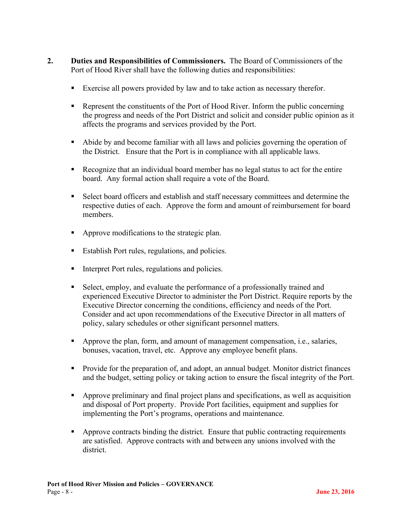- **2. Duties and Responsibilities of Commissioners.** The Board of Commissioners of the Port of Hood River shall have the following duties and responsibilities:
	- Exercise all powers provided by law and to take action as necessary therefor.
	- Represent the constituents of the Port of Hood River. Inform the public concerning the progress and needs of the Port District and solicit and consider public opinion as it affects the programs and services provided by the Port.
	- Abide by and become familiar with all laws and policies governing the operation of the District. Ensure that the Port is in compliance with all applicable laws.
	- Recognize that an individual board member has no legal status to act for the entire board. Any formal action shall require a vote of the Board.
	- Select board officers and establish and staff necessary committees and determine the respective duties of each. Approve the form and amount of reimbursement for board members.
	- Approve modifications to the strategic plan.
	- Establish Port rules, regulations, and policies.
	- Interpret Port rules, regulations and policies.
	- Select, employ, and evaluate the performance of a professionally trained and experienced Executive Director to administer the Port District. Require reports by the Executive Director concerning the conditions, efficiency and needs of the Port. Consider and act upon recommendations of the Executive Director in all matters of policy, salary schedules or other significant personnel matters.
	- Approve the plan, form, and amount of management compensation, i.e., salaries, bonuses, vacation, travel, etc. Approve any employee benefit plans.
	- Provide for the preparation of, and adopt, an annual budget. Monitor district finances and the budget, setting policy or taking action to ensure the fiscal integrity of the Port.
	- Approve preliminary and final project plans and specifications, as well as acquisition and disposal of Port property. Provide Port facilities, equipment and supplies for implementing the Port's programs, operations and maintenance.
	- **•** Approve contracts binding the district. Ensure that public contracting requirements are satisfied. Approve contracts with and between any unions involved with the district.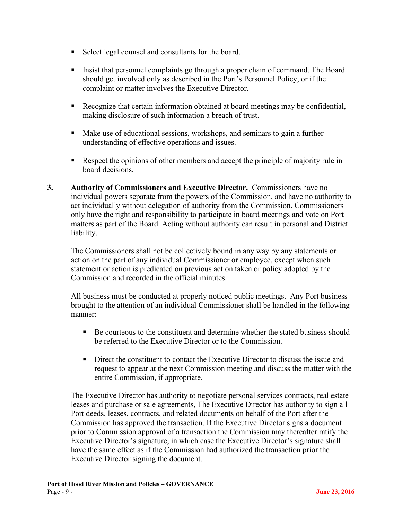- Select legal counsel and consultants for the board.
- Insist that personnel complaints go through a proper chain of command. The Board should get involved only as described in the Port's Personnel Policy, or if the complaint or matter involves the Executive Director.
- Recognize that certain information obtained at board meetings may be confidential, making disclosure of such information a breach of trust.
- Make use of educational sessions, workshops, and seminars to gain a further understanding of effective operations and issues.
- Respect the opinions of other members and accept the principle of majority rule in board decisions.
- **3. Authority of Commissioners and Executive Director.** Commissioners have no individual powers separate from the powers of the Commission, and have no authority to act individually without delegation of authority from the Commission. Commissioners only have the right and responsibility to participate in board meetings and vote on Port matters as part of the Board. Acting without authority can result in personal and District liability.

The Commissioners shall not be collectively bound in any way by any statements or action on the part of any individual Commissioner or employee, except when such statement or action is predicated on previous action taken or policy adopted by the Commission and recorded in the official minutes.

All business must be conducted at properly noticed public meetings. Any Port business brought to the attention of an individual Commissioner shall be handled in the following manner:

- Be courteous to the constituent and determine whether the stated business should be referred to the Executive Director or to the Commission.
- Direct the constituent to contact the Executive Director to discuss the issue and request to appear at the next Commission meeting and discuss the matter with the entire Commission, if appropriate.

The Executive Director has authority to negotiate personal services contracts, real estate leases and purchase or sale agreements, The Executive Director has authority to sign all Port deeds, leases, contracts, and related documents on behalf of the Port after the Commission has approved the transaction. If the Executive Director signs a document prior to Commission approval of a transaction the Commission may thereafter ratify the Executive Director's signature, in which case the Executive Director's signature shall have the same effect as if the Commission had authorized the transaction prior the Executive Director signing the document.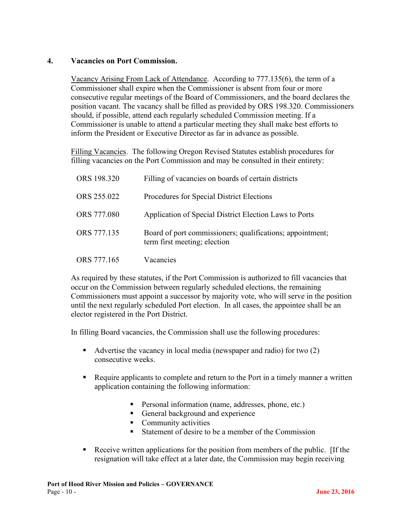#### **4. Vacancies on Port Commission.**

Vacancy Arising From Lack of Attendance. According to 777.135(6), the term of a Commissioner shall expire when the Commissioner is absent from four or more consecutive regular meetings of the Board of Commissioners, and the board declares the position vacant. The vacancy shall be filled as provided by ORS 198.320. Commissioners should, if possible, attend each regularly scheduled Commission meeting. If a Commissioner is unable to attend a particular meeting they shall make best efforts to inform the President or Executive Director as far in advance as possible.

Filling Vacancies. The following Oregon Revised Statutes establish procedures for filling vacancies on the Port Commission and may be consulted in their entirety:

| ORS 198.320 | Filling of vacancies on boards of certain districts                                       |
|-------------|-------------------------------------------------------------------------------------------|
| ORS 255.022 | Procedures for Special District Elections                                                 |
| ORS 777.080 | Application of Special District Election Laws to Ports                                    |
| ORS 777.135 | Board of port commissioners; qualifications; appointment;<br>term first meeting; election |
| ORS 777.165 | Vacancies                                                                                 |

As required by these statutes, if the Port Commission is authorized to fill vacancies that occur on the Commission between regularly scheduled elections, the remaining Commissioners must appoint a successor by majority vote, who will serve in the position until the next regularly scheduled Port election. In all cases, the appointee shall be an elector registered in the Port District.

In filling Board vacancies, the Commission shall use the following procedures:

- Advertise the vacancy in local media (newspaper and radio) for two  $(2)$ consecutive weeks.
- Require applicants to complete and return to the Port in a timely manner a written application containing the following information:
	- **Personal information (name, addresses, phone, etc.)**
	- General background and experience
	- **Community activities**
	- Statement of desire to be a member of the Commission
- Receive written applications for the position from members of the public. [If the resignation will take effect at a later date, the Commission may begin receiving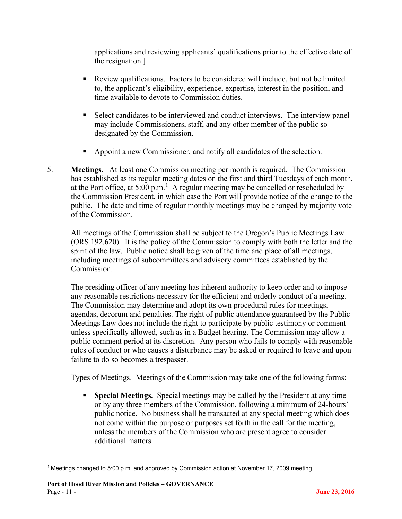applications and reviewing applicants' qualifications prior to the effective date of the resignation.]

- Review qualifications. Factors to be considered will include, but not be limited to, the applicant's eligibility, experience, expertise, interest in the position, and time available to devote to Commission duties.
- Select candidates to be interviewed and conduct interviews. The interview panel may include Commissioners, staff, and any other member of the public so designated by the Commission.
- Appoint a new Commissioner, and notify all candidates of the selection.
- 5. **Meetings.** At least one Commission meeting per month is required. The Commission has established as its regular meeting dates on the first and third Tuesdays of each month, at the Port office, at  $5:00 \text{ p.m.}$ <sup>[1](#page-10-0)</sup> A regular meeting may be cancelled or rescheduled by the Commission President, in which case the Port will provide notice of the change to the public. The date and time of regular monthly meetings may be changed by majority vote of the Commission.

All meetings of the Commission shall be subject to the Oregon's Public Meetings Law (ORS 192.620). It is the policy of the Commission to comply with both the letter and the spirit of the law. Public notice shall be given of the time and place of all meetings, including meetings of subcommittees and advisory committees established by the Commission.

The presiding officer of any meeting has inherent authority to keep order and to impose any reasonable restrictions necessary for the efficient and orderly conduct of a meeting. The Commission may determine and adopt its own procedural rules for meetings, agendas, decorum and penalties. The right of public attendance guaranteed by the Public Meetings Law does not include the right to participate by public testimony or comment unless specifically allowed, such as in a Budget hearing. The Commission may allow a public comment period at its discretion. Any person who fails to comply with reasonable rules of conduct or who causes a disturbance may be asked or required to leave and upon failure to do so becomes a trespasser.

Types of Meetings. Meetings of the Commission may take one of the following forms:

 **Special Meetings.** Special meetings may be called by the President at any time or by any three members of the Commission, following a minimum of 24-hours' public notice. No business shall be transacted at any special meeting which does not come within the purpose or purposes set forth in the call for the meeting, unless the members of the Commission who are present agree to consider additional matters.

<span id="page-10-0"></span><sup>1</sup> Meetings changed to 5:00 p.m. and approved by Commission action at November 17, 2009 meeting.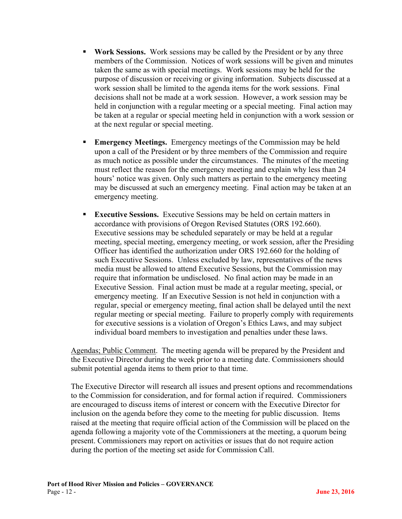- **Work Sessions.** Work sessions may be called by the President or by any three members of the Commission. Notices of work sessions will be given and minutes taken the same as with special meetings. Work sessions may be held for the purpose of discussion or receiving or giving information. Subjects discussed at a work session shall be limited to the agenda items for the work sessions. Final decisions shall not be made at a work session. However, a work session may be held in conjunction with a regular meeting or a special meeting. Final action may be taken at a regular or special meeting held in conjunction with a work session or at the next regular or special meeting.
- **Emergency Meetings.** Emergency meetings of the Commission may be held upon a call of the President or by three members of the Commission and require as much notice as possible under the circumstances. The minutes of the meeting must reflect the reason for the emergency meeting and explain why less than 24 hours' notice was given. Only such matters as pertain to the emergency meeting may be discussed at such an emergency meeting. Final action may be taken at an emergency meeting.
- **Executive Sessions.** Executive Sessions may be held on certain matters in accordance with provisions of Oregon Revised Statutes (ORS 192.660). Executive sessions may be scheduled separately or may be held at a regular meeting, special meeting, emergency meeting, or work session, after the Presiding Officer has identified the authorization under ORS 192.660 for the holding of such Executive Sessions. Unless excluded by law, representatives of the news media must be allowed to attend Executive Sessions, but the Commission may require that information be undisclosed. No final action may be made in an Executive Session. Final action must be made at a regular meeting, special, or emergency meeting. If an Executive Session is not held in conjunction with a regular, special or emergency meeting, final action shall be delayed until the next regular meeting or special meeting. Failure to properly comply with requirements for executive sessions is a violation of Oregon's Ethics Laws, and may subject individual board members to investigation and penalties under these laws.

Agendas; Public Comment. The meeting agenda will be prepared by the President and the Executive Director during the week prior to a meeting date. Commissioners should submit potential agenda items to them prior to that time.

The Executive Director will research all issues and present options and recommendations to the Commission for consideration, and for formal action if required. Commissioners are encouraged to discuss items of interest or concern with the Executive Director for inclusion on the agenda before they come to the meeting for public discussion. Items raised at the meeting that require official action of the Commission will be placed on the agenda following a majority vote of the Commissioners at the meeting, a quorum being present. Commissioners may report on activities or issues that do not require action during the portion of the meeting set aside for Commission Call.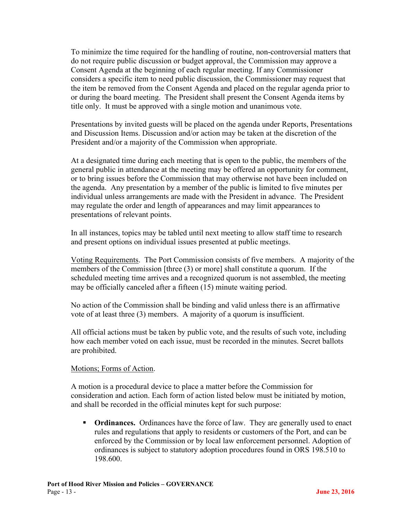To minimize the time required for the handling of routine, non-controversial matters that do not require public discussion or budget approval, the Commission may approve a Consent Agenda at the beginning of each regular meeting. If any Commissioner considers a specific item to need public discussion, the Commissioner may request that the item be removed from the Consent Agenda and placed on the regular agenda prior to or during the board meeting. The President shall present the Consent Agenda items by title only. It must be approved with a single motion and unanimous vote.

Presentations by invited guests will be placed on the agenda under Reports, Presentations and Discussion Items. Discussion and/or action may be taken at the discretion of the President and/or a majority of the Commission when appropriate.

At a designated time during each meeting that is open to the public, the members of the general public in attendance at the meeting may be offered an opportunity for comment, or to bring issues before the Commission that may otherwise not have been included on the agenda. Any presentation by a member of the public is limited to five minutes per individual unless arrangements are made with the President in advance. The President may regulate the order and length of appearances and may limit appearances to presentations of relevant points.

In all instances, topics may be tabled until next meeting to allow staff time to research and present options on individual issues presented at public meetings.

Voting Requirements. The Port Commission consists of five members. A majority of the members of the Commission [three (3) or more] shall constitute a quorum. If the scheduled meeting time arrives and a recognized quorum is not assembled, the meeting may be officially canceled after a fifteen (15) minute waiting period.

No action of the Commission shall be binding and valid unless there is an affirmative vote of at least three (3) members. A majority of a quorum is insufficient.

All official actions must be taken by public vote, and the results of such vote, including how each member voted on each issue, must be recorded in the minutes. Secret ballots are prohibited.

#### Motions; Forms of Action.

A motion is a procedural device to place a matter before the Commission for consideration and action. Each form of action listed below must be initiated by motion, and shall be recorded in the official minutes kept for such purpose:

**• Ordinances.** Ordinances have the force of law. They are generally used to enact rules and regulations that apply to residents or customers of the Port, and can be enforced by the Commission or by local law enforcement personnel. Adoption of ordinances is subject to statutory adoption procedures found in ORS 198.510 to 198.600.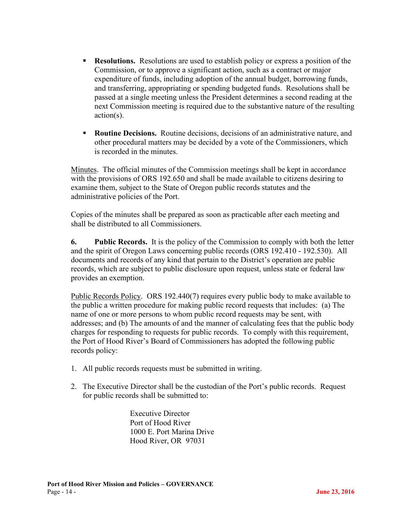- **Resolutions.** Resolutions are used to establish policy or express a position of the Commission, or to approve a significant action, such as a contract or major expenditure of funds, including adoption of the annual budget, borrowing funds, and transferring, appropriating or spending budgeted funds. Resolutions shall be passed at a single meeting unless the President determines a second reading at the next Commission meeting is required due to the substantive nature of the resulting action(s).
- **Routine Decisions.** Routine decisions, decisions of an administrative nature, and other procedural matters may be decided by a vote of the Commissioners, which is recorded in the minutes.

Minutes. The official minutes of the Commission meetings shall be kept in accordance with the provisions of ORS 192.650 and shall be made available to citizens desiring to examine them, subject to the State of Oregon public records statutes and the administrative policies of the Port.

Copies of the minutes shall be prepared as soon as practicable after each meeting and shall be distributed to all Commissioners.

**6. Public Records.** It is the policy of the Commission to comply with both the letter and the spirit of Oregon Laws concerning public records (ORS 192.410 - 192.530). All documents and records of any kind that pertain to the District's operation are public records, which are subject to public disclosure upon request, unless state or federal law provides an exemption.

Public Records Policy. ORS 192.440(7) requires every public body to make available to the public a written procedure for making public record requests that includes: (a) The name of one or more persons to whom public record requests may be sent, with addresses; and (b) The amounts of and the manner of calculating fees that the public body charges for responding to requests for public records. To comply with this requirement, the Port of Hood River's Board of Commissioners has adopted the following public records policy:

- 1. All public records requests must be submitted in writing.
- 2. The Executive Director shall be the custodian of the Port's public records. Request for public records shall be submitted to:

Executive Director Port of Hood River 1000 E. Port Marina Drive Hood River, OR 97031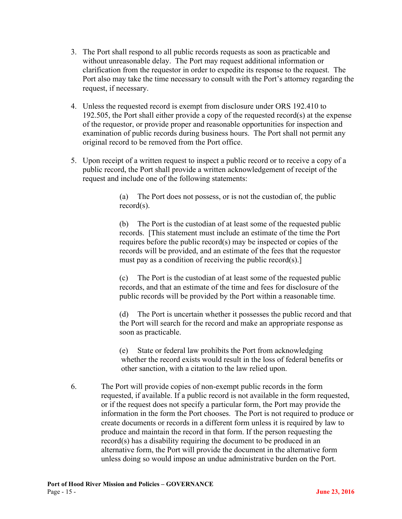- 3. The Port shall respond to all public records requests as soon as practicable and without unreasonable delay. The Port may request additional information or clarification from the requestor in order to expedite its response to the request. The Port also may take the time necessary to consult with the Port's attorney regarding the request, if necessary.
- 4. Unless the requested record is exempt from disclosure under ORS 192.410 to 192.505, the Port shall either provide a copy of the requested record(s) at the expense of the requestor, or provide proper and reasonable opportunities for inspection and examination of public records during business hours. The Port shall not permit any original record to be removed from the Port office.
- 5. Upon receipt of a written request to inspect a public record or to receive a copy of a public record, the Port shall provide a written acknowledgement of receipt of the request and include one of the following statements:

(a) The Port does not possess, or is not the custodian of, the public record(s).

(b) The Port is the custodian of at least some of the requested public records. [This statement must include an estimate of the time the Port requires before the public record(s) may be inspected or copies of the records will be provided, and an estimate of the fees that the requestor must pay as a condition of receiving the public record(s).]

(c) The Port is the custodian of at least some of the requested public records, and that an estimate of the time and fees for disclosure of the public records will be provided by the Port within a reasonable time.

(d) The Port is uncertain whether it possesses the public record and that the Port will search for the record and make an appropriate response as soon as practicable.

(e) State or federal law prohibits the Port from acknowledging whether the record exists would result in the loss of federal benefits or other sanction, with a citation to the law relied upon.

6. The Port will provide copies of non-exempt public records in the form requested, if available. If a public record is not available in the form requested, or if the request does not specify a particular form, the Port may provide the information in the form the Port chooses. The Port is not required to produce or create documents or records in a different form unless it is required by law to produce and maintain the record in that form. If the person requesting the record(s) has a disability requiring the document to be produced in an alternative form, the Port will provide the document in the alternative form unless doing so would impose an undue administrative burden on the Port.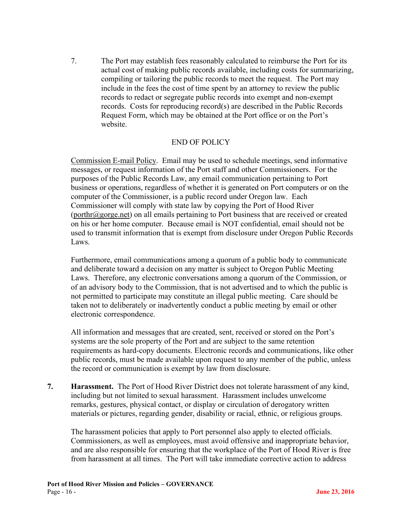7. The Port may establish fees reasonably calculated to reimburse the Port for its actual cost of making public records available, including costs for summarizing, compiling or tailoring the public records to meet the request. The Port may include in the fees the cost of time spent by an attorney to review the public records to redact or segregate public records into exempt and non-exempt records. Costs for reproducing record(s) are described in the Public Records Request Form, which may be obtained at the Port office or on the Port's website.

#### END OF POLICY

Commission E-mail Policy. Email may be used to schedule meetings, send informative messages, or request information of the Port staff and other Commissioners. For the purposes of the Public Records Law, any email communication pertaining to Port business or operations, regardless of whether it is generated on Port computers or on the computer of the Commissioner, is a public record under Oregon law. Each Commissioner will comply with state law by copying the Port of Hood River  $(porthr@gorge.net)$  on all emails pertaining to Port business that are received or created on his or her home computer. Because email is NOT confidential, email should not be used to transmit information that is exempt from disclosure under Oregon Public Records Laws.

Furthermore, email communications among a quorum of a public body to communicate and deliberate toward a decision on any matter is subject to Oregon Public Meeting Laws. Therefore, any electronic conversations among a quorum of the Commission, or of an advisory body to the Commission, that is not advertised and to which the public is not permitted to participate may constitute an illegal public meeting. Care should be taken not to deliberately or inadvertently conduct a public meeting by email or other electronic correspondence.

All information and messages that are created, sent, received or stored on the Port's systems are the sole property of the Port and are subject to the same retention requirements as hard-copy documents. Electronic records and communications, like other public records, must be made available upon request to any member of the public, unless the record or communication is exempt by law from disclosure.

**7. Harassment.** The Port of Hood River District does not tolerate harassment of any kind, including but not limited to sexual harassment. Harassment includes unwelcome remarks, gestures, physical contact, or display or circulation of derogatory written materials or pictures, regarding gender, disability or racial, ethnic, or religious groups.

The harassment policies that apply to Port personnel also apply to elected officials. Commissioners, as well as employees, must avoid offensive and inappropriate behavior, and are also responsible for ensuring that the workplace of the Port of Hood River is free from harassment at all times. The Port will take immediate corrective action to address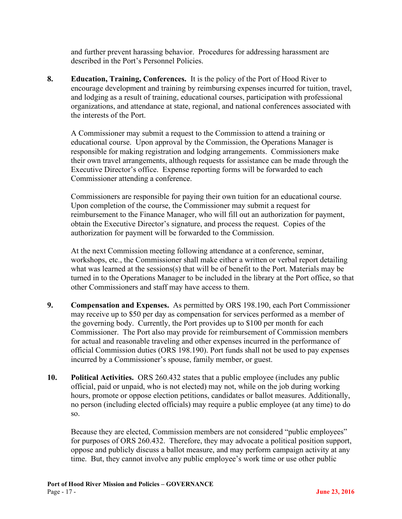and further prevent harassing behavior. Procedures for addressing harassment are described in the Port's Personnel Policies.

**8. Education, Training, Conferences.** It is the policy of the Port of Hood River to encourage development and training by reimbursing expenses incurred for tuition, travel, and lodging as a result of training, educational courses, participation with professional organizations, and attendance at state, regional, and national conferences associated with the interests of the Port.

A Commissioner may submit a request to the Commission to attend a training or educational course. Upon approval by the Commission, the Operations Manager is responsible for making registration and lodging arrangements. Commissioners make their own travel arrangements, although requests for assistance can be made through the Executive Director's office. Expense reporting forms will be forwarded to each Commissioner attending a conference.

Commissioners are responsible for paying their own tuition for an educational course. Upon completion of the course, the Commissioner may submit a request for reimbursement to the Finance Manager, who will fill out an authorization for payment, obtain the Executive Director's signature, and process the request. Copies of the authorization for payment will be forwarded to the Commission.

At the next Commission meeting following attendance at a conference, seminar, workshops, etc., the Commissioner shall make either a written or verbal report detailing what was learned at the sessions(s) that will be of benefit to the Port. Materials may be turned in to the Operations Manager to be included in the library at the Port office, so that other Commissioners and staff may have access to them.

- **9. Compensation and Expenses.** As permitted by ORS 198.190, each Port Commissioner may receive up to \$50 per day as compensation for services performed as a member of the governing body. Currently, the Port provides up to \$100 per month for each Commissioner. The Port also may provide for reimbursement of Commission members for actual and reasonable traveling and other expenses incurred in the performance of official Commission duties (ORS 198.190). Port funds shall not be used to pay expenses incurred by a Commissioner's spouse, family member, or guest.
- **10. Political Activities.** ORS 260.432 states that a public employee (includes any public official, paid or unpaid, who is not elected) may not, while on the job during working hours, promote or oppose election petitions, candidates or ballot measures. Additionally, no person (including elected officials) may require a public employee (at any time) to do so.

Because they are elected, Commission members are not considered "public employees" for purposes of ORS 260.432. Therefore, they may advocate a political position support, oppose and publicly discuss a ballot measure, and may perform campaign activity at any time. But, they cannot involve any public employee's work time or use other public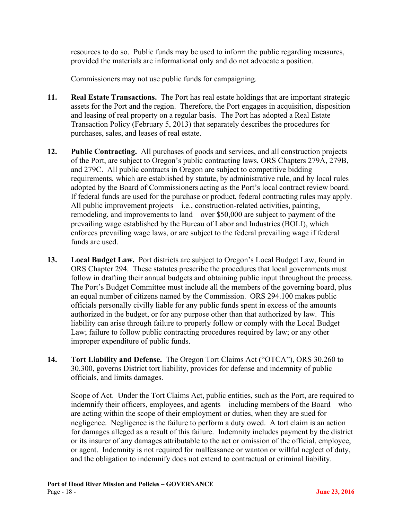resources to do so. Public funds may be used to inform the public regarding measures, provided the materials are informational only and do not advocate a position.

Commissioners may not use public funds for campaigning.

- **11. Real Estate Transactions.** The Port has real estate holdings that are important strategic assets for the Port and the region. Therefore, the Port engages in acquisition, disposition and leasing of real property on a regular basis. The Port has adopted a Real Estate Transaction Policy (February 5, 2013) that separately describes the procedures for purchases, sales, and leases of real estate.
- **12. Public Contracting.** All purchases of goods and services, and all construction projects of the Port, are subject to Oregon's public contracting laws, ORS Chapters 279A, 279B, and 279C. All public contracts in Oregon are subject to competitive bidding requirements, which are established by statute, by administrative rule, and by local rules adopted by the Board of Commissioners acting as the Port's local contract review board. If federal funds are used for the purchase or product, federal contracting rules may apply. All public improvement projects – i.e., construction-related activities, painting, remodeling, and improvements to land – over \$50,000 are subject to payment of the prevailing wage established by the Bureau of Labor and Industries (BOLI), which enforces prevailing wage laws, or are subject to the federal prevailing wage if federal funds are used.
- **13. Local Budget Law.** Port districts are subject to Oregon's Local Budget Law, found in ORS Chapter 294. These statutes prescribe the procedures that local governments must follow in drafting their annual budgets and obtaining public input throughout the process. The Port's Budget Committee must include all the members of the governing board, plus an equal number of citizens named by the Commission. ORS 294.100 makes public officials personally civilly liable for any public funds spent in excess of the amounts authorized in the budget, or for any purpose other than that authorized by law. This liability can arise through failure to properly follow or comply with the Local Budget Law; failure to follow public contracting procedures required by law; or any other improper expenditure of public funds.
- **14. Tort Liability and Defense.** The Oregon Tort Claims Act ("OTCA"), ORS 30.260 to 30.300, governs District tort liability, provides for defense and indemnity of public officials, and limits damages.

Scope of Act. Under the Tort Claims Act, public entities, such as the Port, are required to indemnify their officers, employees, and agents – including members of the Board – who are acting within the scope of their employment or duties, when they are sued for negligence. Negligence is the failure to perform a duty owed. A tort claim is an action for damages alleged as a result of this failure. Indemnity includes payment by the district or its insurer of any damages attributable to the act or omission of the official, employee, or agent. Indemnity is not required for malfeasance or wanton or willful neglect of duty, and the obligation to indemnify does not extend to contractual or criminal liability.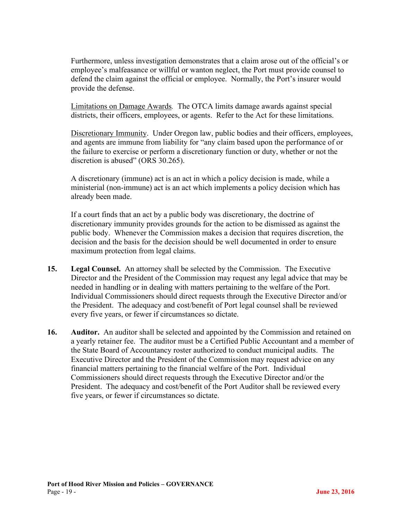Furthermore, unless investigation demonstrates that a claim arose out of the official's or employee's malfeasance or willful or wanton neglect, the Port must provide counsel to defend the claim against the official or employee. Normally, the Port's insurer would provide the defense.

Limitations on Damage Awards*.* The OTCA limits damage awards against special districts, their officers, employees, or agents. Refer to the Act for these limitations.

Discretionary Immunity.Under Oregon law, public bodies and their officers, employees, and agents are immune from liability for "any claim based upon the performance of or the failure to exercise or perform a discretionary function or duty, whether or not the discretion is abused" (ORS 30.265).

A discretionary (immune) act is an act in which a policy decision is made, while a ministerial (non-immune) act is an act which implements a policy decision which has already been made.

If a court finds that an act by a public body was discretionary, the doctrine of discretionary immunity provides grounds for the action to be dismissed as against the public body. Whenever the Commission makes a decision that requires discretion, the decision and the basis for the decision should be well documented in order to ensure maximum protection from legal claims.

- **15. Legal Counsel.** An attorney shall be selected by the Commission. The Executive Director and the President of the Commission may request any legal advice that may be needed in handling or in dealing with matters pertaining to the welfare of the Port. Individual Commissioners should direct requests through the Executive Director and/or the President. The adequacy and cost/benefit of Port legal counsel shall be reviewed every five years, or fewer if circumstances so dictate.
- **16. Auditor.** An auditor shall be selected and appointed by the Commission and retained on a yearly retainer fee. The auditor must be a Certified Public Accountant and a member of the State Board of Accountancy roster authorized to conduct municipal audits. The Executive Director and the President of the Commission may request advice on any financial matters pertaining to the financial welfare of the Port. Individual Commissioners should direct requests through the Executive Director and/or the President. The adequacy and cost/benefit of the Port Auditor shall be reviewed every five years, or fewer if circumstances so dictate.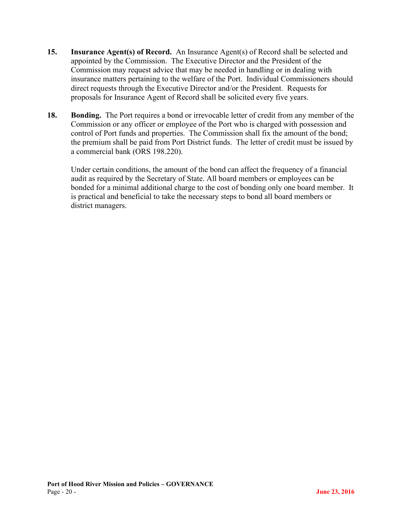- **15. Insurance Agent(s) of Record.** An Insurance Agent(s) of Record shall be selected and appointed by the Commission. The Executive Director and the President of the Commission may request advice that may be needed in handling or in dealing with insurance matters pertaining to the welfare of the Port. Individual Commissioners should direct requests through the Executive Director and/or the President. Requests for proposals for Insurance Agent of Record shall be solicited every five years.
- **18. Bonding.** The Port requires a bond or irrevocable letter of credit from any member of the Commission or any officer or employee of the Port who is charged with possession and control of Port funds and properties. The Commission shall fix the amount of the bond; the premium shall be paid from Port District funds. The letter of credit must be issued by a commercial bank (ORS 198.220).

Under certain conditions, the amount of the bond can affect the frequency of a financial audit as required by the Secretary of State. All board members or employees can be bonded for a minimal additional charge to the cost of bonding only one board member. It is practical and beneficial to take the necessary steps to bond all board members or district managers.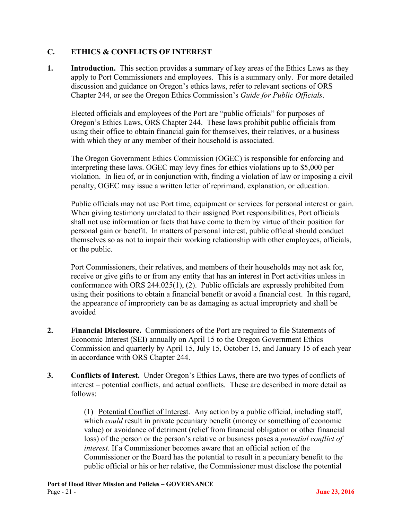#### **C. ETHICS & CONFLICTS OF INTEREST**

**1. Introduction.** This section provides a summary of key areas of the Ethics Laws as they apply to Port Commissioners and employees. This is a summary only. For more detailed discussion and guidance on Oregon's ethics laws, refer to relevant sections of ORS Chapter 244, or see the Oregon Ethics Commission's *Guide for Public Officials*.

Elected officials and employees of the Port are "public officials" for purposes of Oregon's Ethics Laws, ORS Chapter 244. These laws prohibit public officials from using their office to obtain financial gain for themselves, their relatives, or a business with which they or any member of their household is associated.

The Oregon Government Ethics Commission (OGEC) is responsible for enforcing and interpreting these laws. OGEC may levy fines for ethics violations up to \$5,000 per violation. In lieu of, or in conjunction with, finding a violation of law or imposing a civil penalty, OGEC may issue a written letter of reprimand, explanation, or education.

Public officials may not use Port time, equipment or services for personal interest or gain. When giving testimony unrelated to their assigned Port responsibilities, Port officials shall not use information or facts that have come to them by virtue of their position for personal gain or benefit. In matters of personal interest, public official should conduct themselves so as not to impair their working relationship with other employees, officials, or the public.

Port Commissioners, their relatives, and members of their households may not ask for, receive or give gifts to or from any entity that has an interest in Port activities unless in conformance with ORS 244.025(1), (2). Public officials are expressly prohibited from using their positions to obtain a financial benefit or avoid a financial cost. In this regard, the appearance of impropriety can be as damaging as actual impropriety and shall be avoided

- **2. Financial Disclosure.** Commissioners of the Port are required to file Statements of Economic Interest (SEI) annually on April 15 to the Oregon Government Ethics Commission and quarterly by April 15, July 15, October 15, and January 15 of each year in accordance with ORS Chapter 244.
- **3. Conflicts of Interest.** Under Oregon's Ethics Laws, there are two types of conflicts of interest – potential conflicts, and actual conflicts. These are described in more detail as follows:

(1) Potential Conflict of Interest.Any action by a public official, including staff, which *could* result in private pecuniary benefit (money or something of economic value) or avoidance of detriment (relief from financial obligation or other financial loss) of the person or the person's relative or business poses a *potential conflict of interest*. If a Commissioner becomes aware that an official action of the Commissioner or the Board has the potential to result in a pecuniary benefit to the public official or his or her relative, the Commissioner must disclose the potential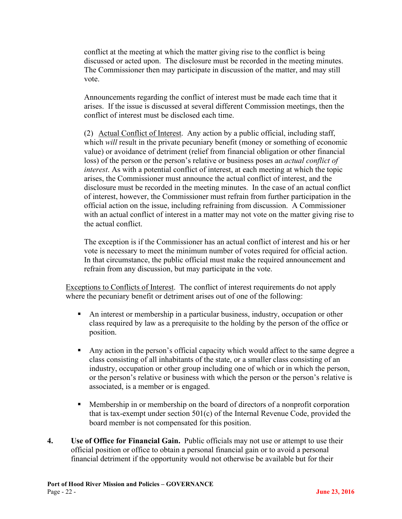conflict at the meeting at which the matter giving rise to the conflict is being discussed or acted upon. The disclosure must be recorded in the meeting minutes. The Commissioner then may participate in discussion of the matter, and may still vote.

Announcements regarding the conflict of interest must be made each time that it arises. If the issue is discussed at several different Commission meetings, then the conflict of interest must be disclosed each time.

(2) Actual Conflict of Interest. Any action by a public official, including staff, which *will* result in the private pecuniary benefit (money or something of economic value) or avoidance of detriment (relief from financial obligation or other financial loss) of the person or the person's relative or business poses an *actual conflict of interest*. As with a potential conflict of interest, at each meeting at which the topic arises, the Commissioner must announce the actual conflict of interest, and the disclosure must be recorded in the meeting minutes. In the case of an actual conflict of interest, however, the Commissioner must refrain from further participation in the official action on the issue, including refraining from discussion. A Commissioner with an actual conflict of interest in a matter may not vote on the matter giving rise to the actual conflict.

The exception is if the Commissioner has an actual conflict of interest and his or her vote is necessary to meet the minimum number of votes required for official action. In that circumstance, the public official must make the required announcement and refrain from any discussion, but may participate in the vote.

Exceptions to Conflicts of Interest. The conflict of interest requirements do not apply where the pecuniary benefit or detriment arises out of one of the following:

- An interest or membership in a particular business, industry, occupation or other class required by law as a prerequisite to the holding by the person of the office or position.
- Any action in the person's official capacity which would affect to the same degree a class consisting of all inhabitants of the state, or a smaller class consisting of an industry, occupation or other group including one of which or in which the person, or the person's relative or business with which the person or the person's relative is associated, is a member or is engaged.
- Membership in or membership on the board of directors of a nonprofit corporation that is tax-exempt under section 501(c) of the Internal Revenue Code, provided the board member is not compensated for this position.
- **4. Use of Office for Financial Gain.** Public officials may not use or attempt to use their official position or office to obtain a personal financial gain or to avoid a personal financial detriment if the opportunity would not otherwise be available but for their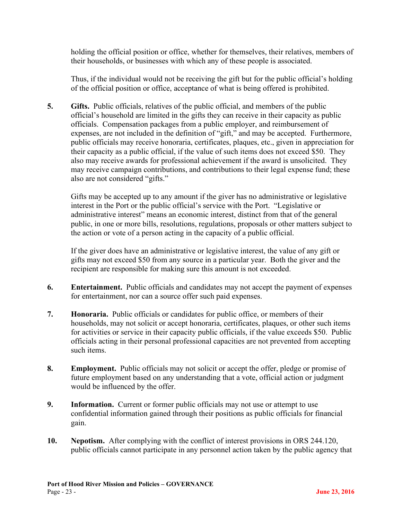holding the official position or office, whether for themselves, their relatives, members of their households, or businesses with which any of these people is associated.

Thus, if the individual would not be receiving the gift but for the public official's holding of the official position or office, acceptance of what is being offered is prohibited.

**5. Gifts.** Public officials, relatives of the public official, and members of the public official's household are limited in the gifts they can receive in their capacity as public officials. Compensation packages from a public employer, and reimbursement of expenses, are not included in the definition of "gift," and may be accepted. Furthermore, public officials may receive honoraria, certificates, plaques, etc., given in appreciation for their capacity as a public official, if the value of such items does not exceed \$50. They also may receive awards for professional achievement if the award is unsolicited. They may receive campaign contributions, and contributions to their legal expense fund; these also are not considered "gifts."

Gifts may be accepted up to any amount if the giver has no administrative or legislative interest in the Port or the public official's service with the Port. "Legislative or administrative interest" means an economic interest, distinct from that of the general public, in one or more bills, resolutions, regulations, proposals or other matters subject to the action or vote of a person acting in the capacity of a public official.

If the giver does have an administrative or legislative interest, the value of any gift or gifts may not exceed \$50 from any source in a particular year. Both the giver and the recipient are responsible for making sure this amount is not exceeded.

- **6. Entertainment.** Public officials and candidates may not accept the payment of expenses for entertainment, nor can a source offer such paid expenses.
- **7. Honoraria.** Public officials or candidates for public office, or members of their households, may not solicit or accept honoraria, certificates, plaques, or other such items for activities or service in their capacity public officials, if the value exceeds \$50. Public officials acting in their personal professional capacities are not prevented from accepting such items.
- **8. Employment.** Public officials may not solicit or accept the offer, pledge or promise of future employment based on any understanding that a vote, official action or judgment would be influenced by the offer.
- **9. Information.** Current or former public officials may not use or attempt to use confidential information gained through their positions as public officials for financial gain.
- **10. Nepotism.** After complying with the conflict of interest provisions in ORS 244.120, public officials cannot participate in any personnel action taken by the public agency that